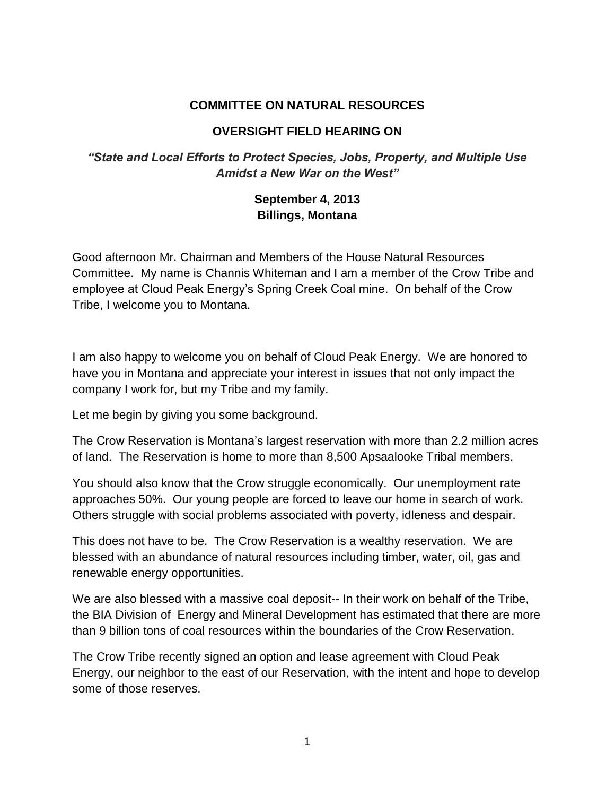## **COMMITTEE ON NATURAL RESOURCES**

## **OVERSIGHT FIELD HEARING ON**

## *"State and Local Efforts to Protect Species, Jobs, Property, and Multiple Use Amidst a New War on the West"*

## **September 4, 2013 Billings, Montana**

Good afternoon Mr. Chairman and Members of the House Natural Resources Committee. My name is Channis Whiteman and I am a member of the Crow Tribe and employee at Cloud Peak Energy's Spring Creek Coal mine. On behalf of the Crow Tribe, I welcome you to Montana.

I am also happy to welcome you on behalf of Cloud Peak Energy. We are honored to have you in Montana and appreciate your interest in issues that not only impact the company I work for, but my Tribe and my family.

Let me begin by giving you some background.

The Crow Reservation is Montana's largest reservation with more than 2.2 million acres of land. The Reservation is home to more than 8,500 Apsaalooke Tribal members.

You should also know that the Crow struggle economically. Our unemployment rate approaches 50%. Our young people are forced to leave our home in search of work. Others struggle with social problems associated with poverty, idleness and despair.

This does not have to be. The Crow Reservation is a wealthy reservation. We are blessed with an abundance of natural resources including timber, water, oil, gas and renewable energy opportunities.

We are also blessed with a massive coal deposit-- In their work on behalf of the Tribe, the BIA Division of Energy and Mineral Development has estimated that there are more than 9 billion tons of coal resources within the boundaries of the Crow Reservation.

The Crow Tribe recently signed an option and lease agreement with Cloud Peak Energy, our neighbor to the east of our Reservation, with the intent and hope to develop some of those reserves.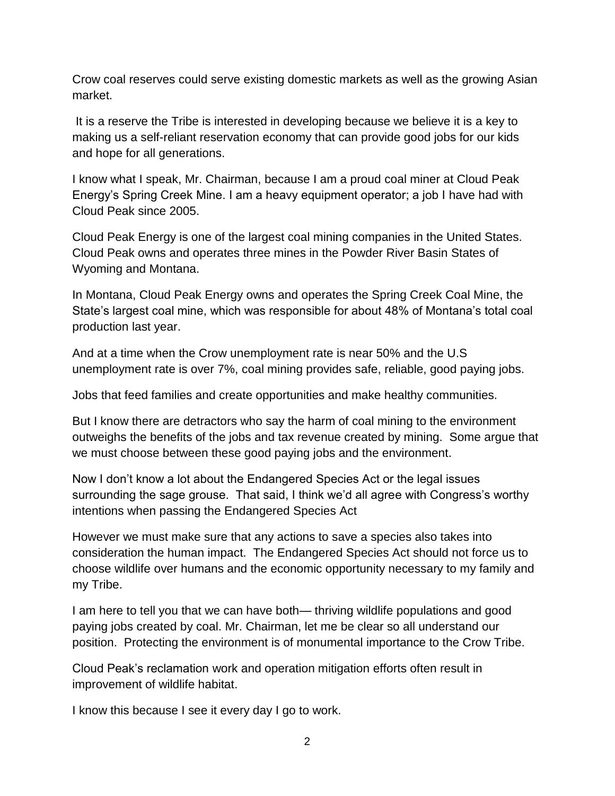Crow coal reserves could serve existing domestic markets as well as the growing Asian market.

It is a reserve the Tribe is interested in developing because we believe it is a key to making us a self-reliant reservation economy that can provide good jobs for our kids and hope for all generations.

I know what I speak, Mr. Chairman, because I am a proud coal miner at Cloud Peak Energy's Spring Creek Mine. I am a heavy equipment operator; a job I have had with Cloud Peak since 2005.

Cloud Peak Energy is one of the largest coal mining companies in the United States. Cloud Peak owns and operates three mines in the Powder River Basin States of Wyoming and Montana.

In Montana, Cloud Peak Energy owns and operates the Spring Creek Coal Mine, the State's largest coal mine, which was responsible for about 48% of Montana's total coal production last year.

And at a time when the Crow unemployment rate is near 50% and the U.S unemployment rate is over 7%, coal mining provides safe, reliable, good paying jobs.

Jobs that feed families and create opportunities and make healthy communities.

But I know there are detractors who say the harm of coal mining to the environment outweighs the benefits of the jobs and tax revenue created by mining. Some argue that we must choose between these good paying jobs and the environment.

Now I don't know a lot about the Endangered Species Act or the legal issues surrounding the sage grouse. That said, I think we'd all agree with Congress's worthy intentions when passing the Endangered Species Act

However we must make sure that any actions to save a species also takes into consideration the human impact. The Endangered Species Act should not force us to choose wildlife over humans and the economic opportunity necessary to my family and my Tribe.

I am here to tell you that we can have both— thriving wildlife populations and good paying jobs created by coal. Mr. Chairman, let me be clear so all understand our position. Protecting the environment is of monumental importance to the Crow Tribe.

Cloud Peak's reclamation work and operation mitigation efforts often result in improvement of wildlife habitat.

I know this because I see it every day I go to work.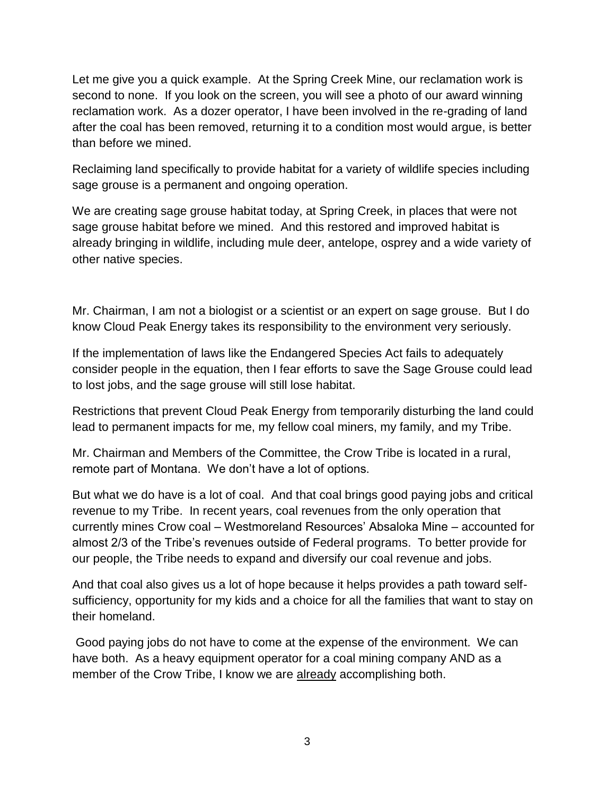Let me give you a quick example. At the Spring Creek Mine, our reclamation work is second to none. If you look on the screen, you will see a photo of our award winning reclamation work. As a dozer operator, I have been involved in the re-grading of land after the coal has been removed, returning it to a condition most would argue, is better than before we mined.

Reclaiming land specifically to provide habitat for a variety of wildlife species including sage grouse is a permanent and ongoing operation.

We are creating sage grouse habitat today, at Spring Creek, in places that were not sage grouse habitat before we mined. And this restored and improved habitat is already bringing in wildlife, including mule deer, antelope, osprey and a wide variety of other native species.

Mr. Chairman, I am not a biologist or a scientist or an expert on sage grouse. But I do know Cloud Peak Energy takes its responsibility to the environment very seriously.

If the implementation of laws like the Endangered Species Act fails to adequately consider people in the equation, then I fear efforts to save the Sage Grouse could lead to lost jobs, and the sage grouse will still lose habitat.

Restrictions that prevent Cloud Peak Energy from temporarily disturbing the land could lead to permanent impacts for me, my fellow coal miners, my family, and my Tribe.

Mr. Chairman and Members of the Committee, the Crow Tribe is located in a rural, remote part of Montana. We don't have a lot of options.

But what we do have is a lot of coal. And that coal brings good paying jobs and critical revenue to my Tribe. In recent years, coal revenues from the only operation that currently mines Crow coal – Westmoreland Resources' Absaloka Mine – accounted for almost 2/3 of the Tribe's revenues outside of Federal programs. To better provide for our people, the Tribe needs to expand and diversify our coal revenue and jobs.

And that coal also gives us a lot of hope because it helps provides a path toward selfsufficiency, opportunity for my kids and a choice for all the families that want to stay on their homeland.

Good paying jobs do not have to come at the expense of the environment. We can have both. As a heavy equipment operator for a coal mining company AND as a member of the Crow Tribe, I know we are already accomplishing both.